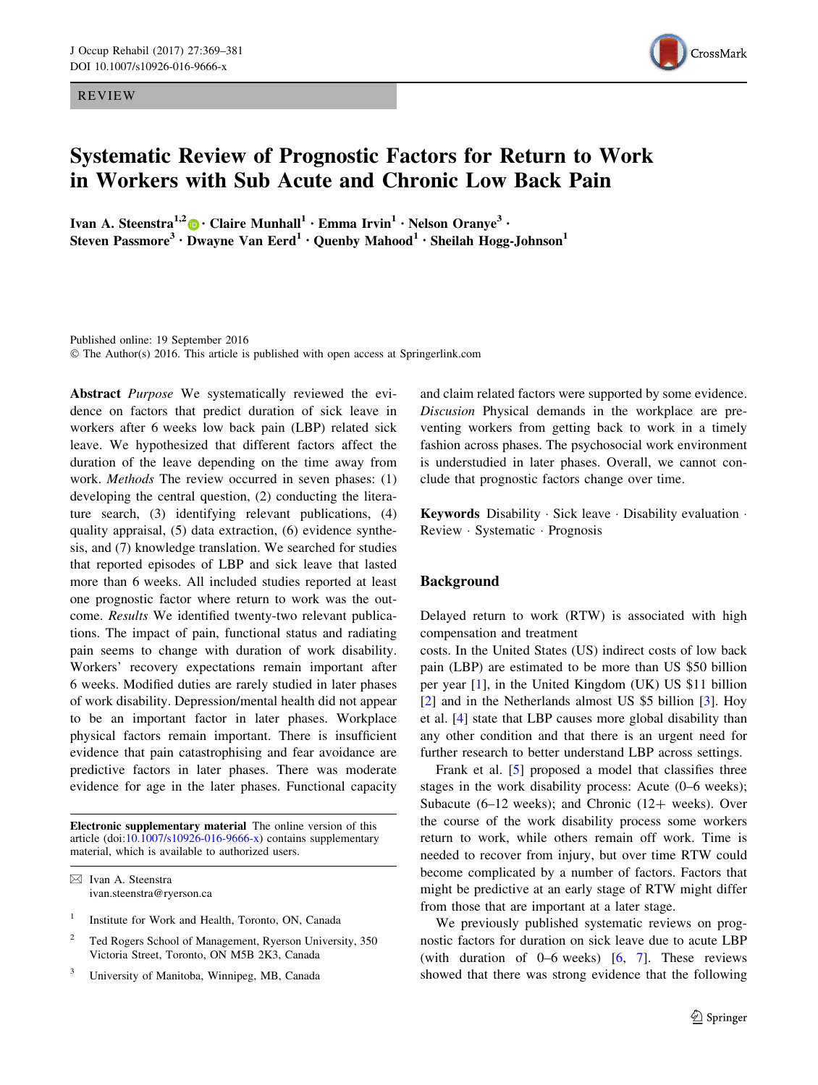REVIEW



# Systematic Review of Prognostic Factors for Return to Work in Workers with Sub Acute and Chronic Low Back Pain

Ivan A. Steenstra<sup>1,2</sup> • Claire Munhall<sup>1</sup> • Emma Irvin<sup>1</sup> • Nelson Oranye<sup>3</sup> • Steven Passmore<sup>3</sup> • Dwayne Van Eerd<sup>1</sup> • Quenby Mahood<sup>1</sup> • Sheilah Hogg-Johnson<sup>1</sup>

Published online: 19 September 2016 © The Author(s) 2016. This article is published with open access at Springerlink.com

Abstract *Purpose* We systematically reviewed the evidence on factors that predict duration of sick leave in workers after 6 weeks low back pain (LBP) related sick leave. We hypothesized that different factors affect the duration of the leave depending on the time away from work. Methods The review occurred in seven phases: (1) developing the central question, (2) conducting the literature search, (3) identifying relevant publications, (4) quality appraisal, (5) data extraction, (6) evidence synthesis, and (7) knowledge translation. We searched for studies that reported episodes of LBP and sick leave that lasted more than 6 weeks. All included studies reported at least one prognostic factor where return to work was the outcome. Results We identified twenty-two relevant publications. The impact of pain, functional status and radiating pain seems to change with duration of work disability. Workers' recovery expectations remain important after 6 weeks. Modified duties are rarely studied in later phases of work disability. Depression/mental health did not appear to be an important factor in later phases. Workplace physical factors remain important. There is insufficient evidence that pain catastrophising and fear avoidance are predictive factors in later phases. There was moderate evidence for age in the later phases. Functional capacity

Electronic supplementary material The online version of this article (doi:[10.1007/s10926-016-9666-x\)](http://dx.doi.org/10.1007/s10926-016-9666-x) contains supplementary material, which is available to authorized users.

 $\boxtimes$  Ivan A. Steenstra ivan.steenstra@ryerson.ca

- <sup>1</sup> Institute for Work and Health, Toronto, ON, Canada
- <sup>2</sup> Ted Rogers School of Management, Ryerson University, 350 Victoria Street, Toronto, ON M5B 2K3, Canada
- <sup>3</sup> University of Manitoba, Winnipeg, MB, Canada

and claim related factors were supported by some evidence. Discusion Physical demands in the workplace are preventing workers from getting back to work in a timely fashion across phases. The psychosocial work environment is understudied in later phases. Overall, we cannot conclude that prognostic factors change over time.

Keywords Disability - Sick leave - Disability evaluation - Review - Systematic - Prognosis

## Background

Delayed return to work (RTW) is associated with high compensation and treatment

costs. In the United States (US) indirect costs of low back pain (LBP) are estimated to be more than US \$50 billion per year [\[1](#page-10-0)], in the United Kingdom (UK) US \$11 billion [\[2](#page-10-0)] and in the Netherlands almost US \$5 billion [[3\]](#page-10-0). Hoy et al. [[4\]](#page-10-0) state that LBP causes more global disability than any other condition and that there is an urgent need for further research to better understand LBP across settings.

Frank et al. [[5\]](#page-10-0) proposed a model that classifies three stages in the work disability process: Acute (0–6 weeks); Subacute (6–12 weeks); and Chronic (12+ weeks). Over the course of the work disability process some workers return to work, while others remain off work. Time is needed to recover from injury, but over time RTW could become complicated by a number of factors. Factors that might be predictive at an early stage of RTW might differ from those that are important at a later stage.

We previously published systematic reviews on prognostic factors for duration on sick leave due to acute LBP (with duration of  $0-6$  weeks)  $[6, 7]$  $[6, 7]$  $[6, 7]$  $[6, 7]$ . These reviews showed that there was strong evidence that the following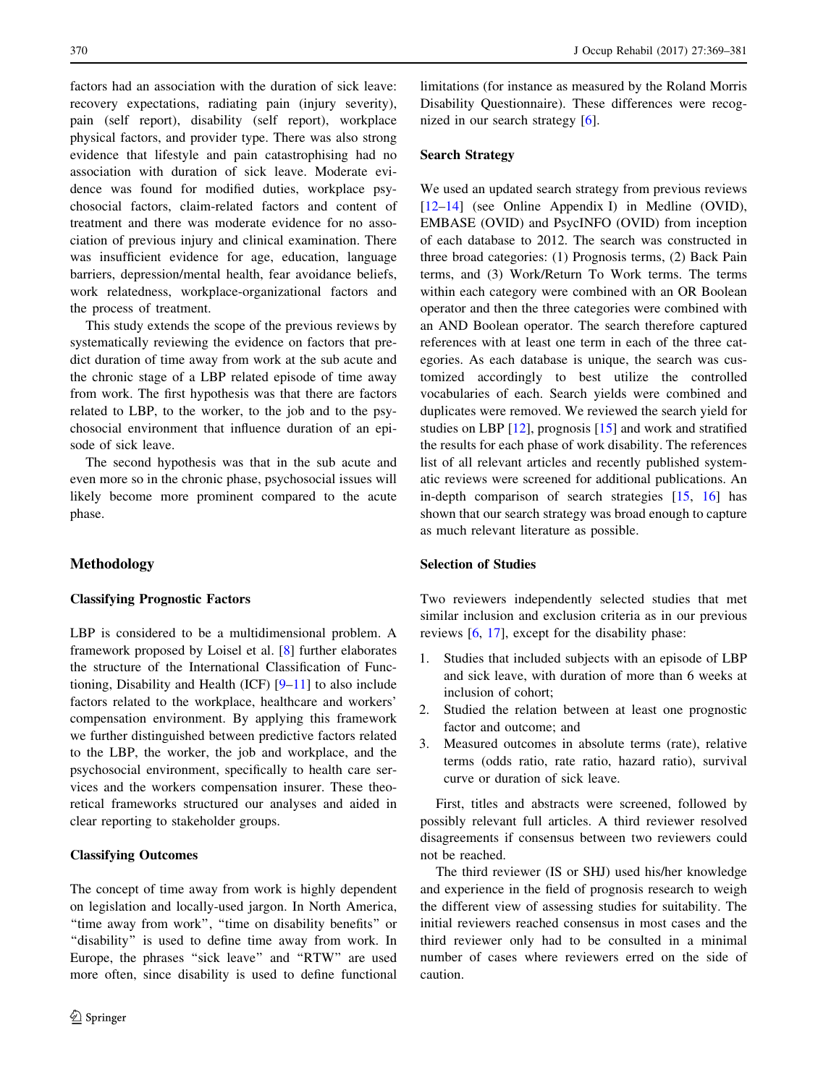factors had an association with the duration of sick leave: recovery expectations, radiating pain (injury severity), pain (self report), disability (self report), workplace physical factors, and provider type. There was also strong evidence that lifestyle and pain catastrophising had no association with duration of sick leave. Moderate evidence was found for modified duties, workplace psychosocial factors, claim-related factors and content of treatment and there was moderate evidence for no association of previous injury and clinical examination. There was insufficient evidence for age, education, language barriers, depression/mental health, fear avoidance beliefs, work relatedness, workplace-organizational factors and the process of treatment.

This study extends the scope of the previous reviews by systematically reviewing the evidence on factors that predict duration of time away from work at the sub acute and the chronic stage of a LBP related episode of time away from work. The first hypothesis was that there are factors related to LBP, to the worker, to the job and to the psychosocial environment that influence duration of an episode of sick leave.

The second hypothesis was that in the sub acute and even more so in the chronic phase, psychosocial issues will likely become more prominent compared to the acute phase.

## Methodology

## Classifying Prognostic Factors

LBP is considered to be a multidimensional problem. A framework proposed by Loisel et al. [\[8](#page-10-0)] further elaborates the structure of the International Classification of Functioning, Disability and Health (ICF)  $[9-11]$  to also include factors related to the workplace, healthcare and workers' compensation environment. By applying this framework we further distinguished between predictive factors related to the LBP, the worker, the job and workplace, and the psychosocial environment, specifically to health care services and the workers compensation insurer. These theoretical frameworks structured our analyses and aided in clear reporting to stakeholder groups.

## Classifying Outcomes

The concept of time away from work is highly dependent on legislation and locally-used jargon. In North America, ''time away from work'', ''time on disability benefits'' or "disability" is used to define time away from work. In Europe, the phrases ''sick leave'' and ''RTW'' are used more often, since disability is used to define functional limitations (for instance as measured by the Roland Morris Disability Questionnaire). These differences were recognized in our search strategy [\[6](#page-10-0)].

# Search Strategy

We used an updated search strategy from previous reviews [\[12–14](#page-10-0)] (see Online Appendix I) in Medline (OVID), EMBASE (OVID) and PsycINFO (OVID) from inception of each database to 2012. The search was constructed in three broad categories: (1) Prognosis terms, (2) Back Pain terms, and (3) Work/Return To Work terms. The terms within each category were combined with an OR Boolean operator and then the three categories were combined with an AND Boolean operator. The search therefore captured references with at least one term in each of the three categories. As each database is unique, the search was customized accordingly to best utilize the controlled vocabularies of each. Search yields were combined and duplicates were removed. We reviewed the search yield for studies on LBP [\[12](#page-10-0)], prognosis [\[15](#page-10-0)] and work and stratified the results for each phase of work disability. The references list of all relevant articles and recently published systematic reviews were screened for additional publications. An in-depth comparison of search strategies [[15,](#page-10-0) [16](#page-10-0)] has shown that our search strategy was broad enough to capture as much relevant literature as possible.

## Selection of Studies

Two reviewers independently selected studies that met similar inclusion and exclusion criteria as in our previous reviews [[6,](#page-10-0) [17\]](#page-10-0), except for the disability phase:

- 1. Studies that included subjects with an episode of LBP and sick leave, with duration of more than 6 weeks at inclusion of cohort;
- 2. Studied the relation between at least one prognostic factor and outcome; and
- 3. Measured outcomes in absolute terms (rate), relative terms (odds ratio, rate ratio, hazard ratio), survival curve or duration of sick leave.

First, titles and abstracts were screened, followed by possibly relevant full articles. A third reviewer resolved disagreements if consensus between two reviewers could not be reached.

The third reviewer (IS or SHJ) used his/her knowledge and experience in the field of prognosis research to weigh the different view of assessing studies for suitability. The initial reviewers reached consensus in most cases and the third reviewer only had to be consulted in a minimal number of cases where reviewers erred on the side of caution.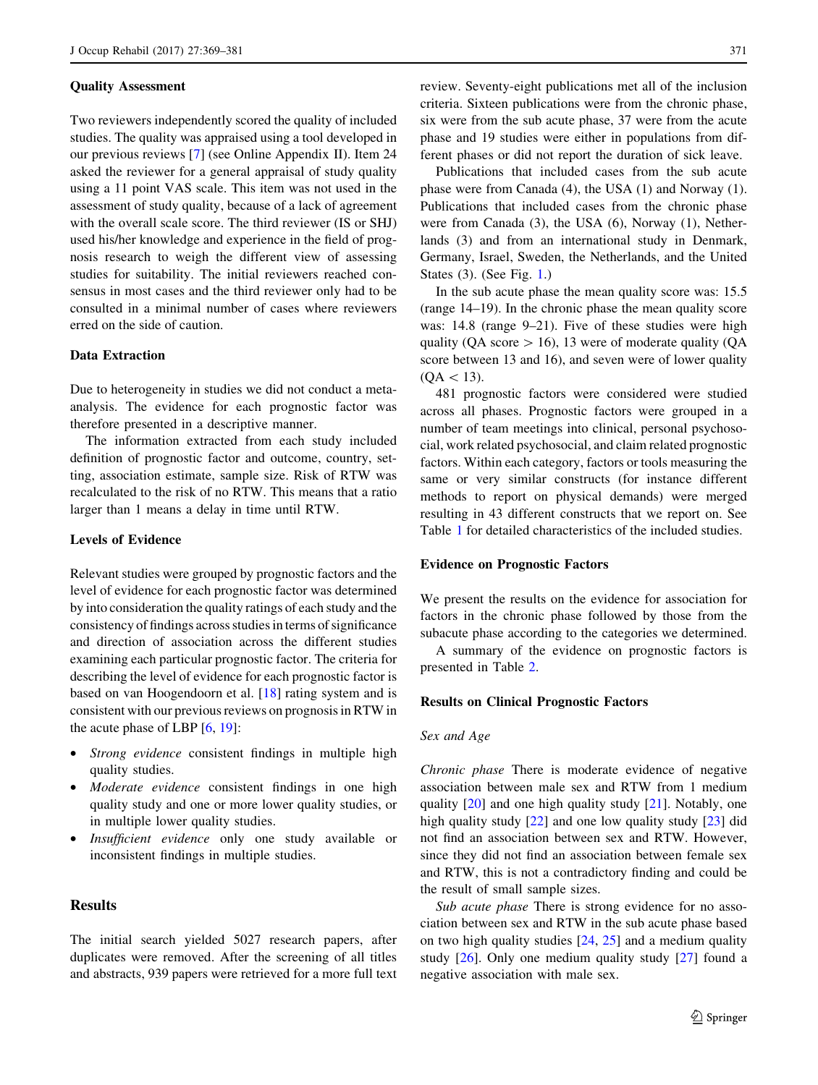#### Quality Assessment

Two reviewers independently scored the quality of included studies. The quality was appraised using a tool developed in our previous reviews [[7\]](#page-10-0) (see Online Appendix II). Item 24 asked the reviewer for a general appraisal of study quality using a 11 point VAS scale. This item was not used in the assessment of study quality, because of a lack of agreement with the overall scale score. The third reviewer (IS or SHJ) used his/her knowledge and experience in the field of prognosis research to weigh the different view of assessing studies for suitability. The initial reviewers reached consensus in most cases and the third reviewer only had to be consulted in a minimal number of cases where reviewers erred on the side of caution.

## Data Extraction

Due to heterogeneity in studies we did not conduct a metaanalysis. The evidence for each prognostic factor was therefore presented in a descriptive manner.

The information extracted from each study included definition of prognostic factor and outcome, country, setting, association estimate, sample size. Risk of RTW was recalculated to the risk of no RTW. This means that a ratio larger than 1 means a delay in time until RTW.

## Levels of Evidence

Relevant studies were grouped by prognostic factors and the level of evidence for each prognostic factor was determined by into consideration the quality ratings of each study and the consistency of findings across studies in terms of significance and direction of association across the different studies examining each particular prognostic factor. The criteria for describing the level of evidence for each prognostic factor is based on van Hoogendoorn et al. [[18\]](#page-10-0) rating system and is consistent with our previous reviews on prognosis in RTW in the acute phase of LBP [[6,](#page-10-0) [19\]](#page-10-0):

- Strong evidence consistent findings in multiple high quality studies.
- *Moderate evidence* consistent findings in one high quality study and one or more lower quality studies, or in multiple lower quality studies.
- Insufficient evidence only one study available or inconsistent findings in multiple studies.

# Results

The initial search yielded 5027 research papers, after duplicates were removed. After the screening of all titles and abstracts, 939 papers were retrieved for a more full text review. Seventy-eight publications met all of the inclusion criteria. Sixteen publications were from the chronic phase, six were from the sub acute phase, 37 were from the acute phase and 19 studies were either in populations from different phases or did not report the duration of sick leave.

Publications that included cases from the sub acute phase were from Canada (4), the USA (1) and Norway (1). Publications that included cases from the chronic phase were from Canada (3), the USA (6), Norway (1), Netherlands (3) and from an international study in Denmark, Germany, Israel, Sweden, the Netherlands, and the United States (3). (See Fig. [1.](#page-3-0))

In the sub acute phase the mean quality score was: 15.5 (range 14–19). In the chronic phase the mean quality score was: 14.8 (range 9–21). Five of these studies were high quality (QA score  $> 16$ ), 13 were of moderate quality (QA score between 13 and 16), and seven were of lower quality  $(QA < 13)$ .

481 prognostic factors were considered were studied across all phases. Prognostic factors were grouped in a number of team meetings into clinical, personal psychosocial, work related psychosocial, and claim related prognostic factors. Within each category, factors or tools measuring the same or very similar constructs (for instance different methods to report on physical demands) were merged resulting in 43 different constructs that we report on. See Table [1](#page-4-0) for detailed characteristics of the included studies.

#### Evidence on Prognostic Factors

We present the results on the evidence for association for factors in the chronic phase followed by those from the subacute phase according to the categories we determined.

A summary of the evidence on prognostic factors is presented in Table [2](#page-5-0).

## Results on Clinical Prognostic Factors

#### Sex and Age

Chronic phase There is moderate evidence of negative association between male sex and RTW from 1 medium quality [[20\]](#page-10-0) and one high quality study [[21\]](#page-10-0). Notably, one high quality study [\[22](#page-10-0)] and one low quality study [\[23\]](#page-10-0) did not find an association between sex and RTW. However, since they did not find an association between female sex and RTW, this is not a contradictory finding and could be the result of small sample sizes.

Sub acute phase There is strong evidence for no association between sex and RTW in the sub acute phase based on two high quality studies  $[24, 25]$  $[24, 25]$  $[24, 25]$  and a medium quality study [\[26](#page-10-0)]. Only one medium quality study [\[27](#page-10-0)] found a negative association with male sex.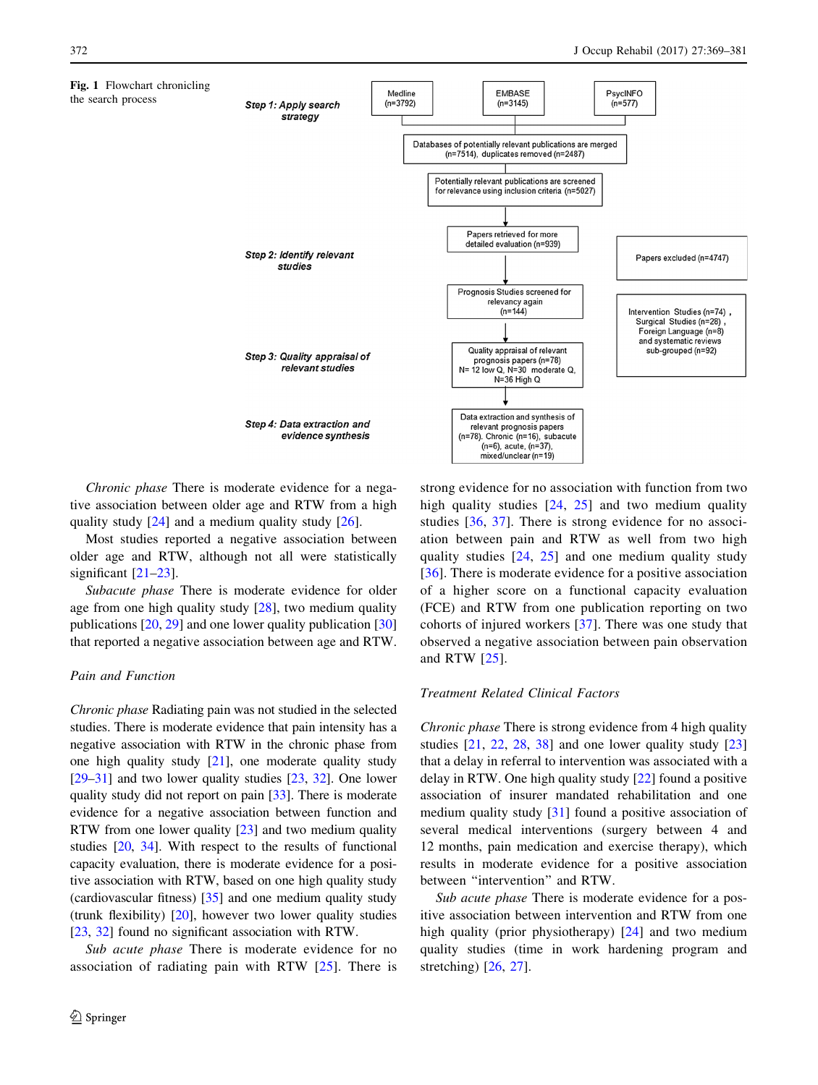<span id="page-3-0"></span>

Chronic phase There is moderate evidence for a negative association between older age and RTW from a high quality study  $[24]$  $[24]$  and a medium quality study  $[26]$  $[26]$ .

Most studies reported a negative association between older age and RTW, although not all were statistically significant [\[21–23](#page-10-0)].

Subacute phase There is moderate evidence for older age from one high quality study [\[28](#page-11-0)], two medium quality publications [[20,](#page-10-0) [29](#page-11-0)] and one lower quality publication [[30\]](#page-11-0) that reported a negative association between age and RTW.

## Pain and Function

Chronic phase Radiating pain was not studied in the selected studies. There is moderate evidence that pain intensity has a negative association with RTW in the chronic phase from one high quality study [\[21](#page-10-0)], one moderate quality study [\[29](#page-11-0)–[31\]](#page-11-0) and two lower quality studies [\[23,](#page-10-0) [32\]](#page-11-0). One lower quality study did not report on pain [[33](#page-11-0)]. There is moderate evidence for a negative association between function and RTW from one lower quality [[23\]](#page-10-0) and two medium quality studies [[20,](#page-10-0) [34](#page-11-0)]. With respect to the results of functional capacity evaluation, there is moderate evidence for a positive association with RTW, based on one high quality study (cardiovascular fitness) [[35](#page-11-0)] and one medium quality study (trunk flexibility) [[20](#page-10-0)], however two lower quality studies [\[23](#page-10-0), [32\]](#page-11-0) found no significant association with RTW.

Sub acute phase There is moderate evidence for no association of radiating pain with RTW  $[25]$  $[25]$ . There is strong evidence for no association with function from two high quality studies [\[24](#page-10-0), [25](#page-10-0)] and two medium quality studies [[36](#page-11-0), [37\]](#page-11-0). There is strong evidence for no association between pain and RTW as well from two high quality studies [[24](#page-10-0), [25\]](#page-10-0) and one medium quality study [[36\]](#page-11-0). There is moderate evidence for a positive association of a higher score on a functional capacity evaluation (FCE) and RTW from one publication reporting on two cohorts of injured workers [[37\]](#page-11-0). There was one study that observed a negative association between pain observation and RTW [[25\]](#page-10-0).

#### Treatment Related Clinical Factors

Chronic phase There is strong evidence from 4 high quality studies  $[21, 22, 28, 38]$  $[21, 22, 28, 38]$  $[21, 22, 28, 38]$  $[21, 22, 28, 38]$  $[21, 22, 28, 38]$  $[21, 22, 28, 38]$  $[21, 22, 28, 38]$  $[21, 22, 28, 38]$  and one lower quality study  $[23]$  $[23]$ that a delay in referral to intervention was associated with a delay in RTW. One high quality study [\[22](#page-10-0)] found a positive association of insurer mandated rehabilitation and one medium quality study [[31\]](#page-11-0) found a positive association of several medical interventions (surgery between 4 and 12 months, pain medication and exercise therapy), which results in moderate evidence for a positive association between ''intervention'' and RTW.

Sub acute phase There is moderate evidence for a positive association between intervention and RTW from one high quality (prior physiotherapy) [\[24](#page-10-0)] and two medium quality studies (time in work hardening program and stretching) [[26,](#page-10-0) [27](#page-10-0)].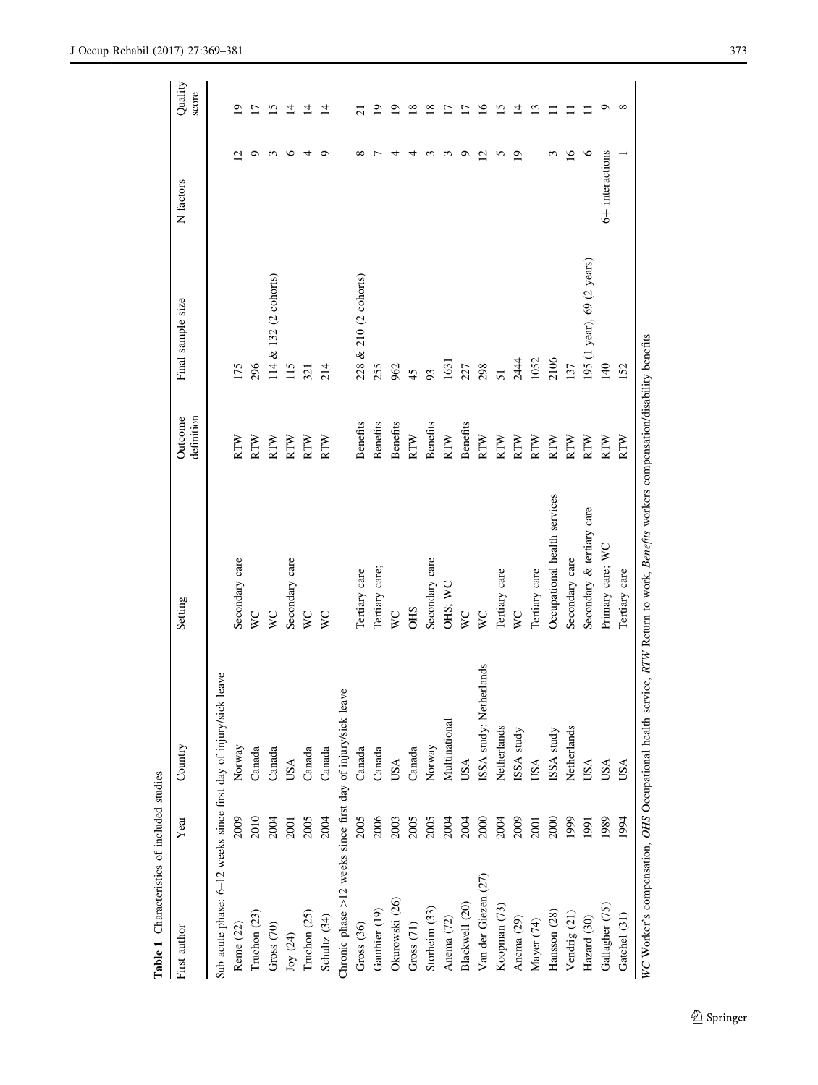<span id="page-4-0"></span>

| Table 1 Characteristics of included studies                  |             |                         |                                                                                                                                 |                       |                            |                             |                         |
|--------------------------------------------------------------|-------------|-------------------------|---------------------------------------------------------------------------------------------------------------------------------|-----------------------|----------------------------|-----------------------------|-------------------------|
| First author                                                 | Year        | Country                 | Setting                                                                                                                         | definition<br>Outcome | Final sample size          | N factors                   | Quality<br>score        |
| Sub acute phase: 6-12 weeks since first day of injury/sick   |             | leave                   |                                                                                                                                 |                       |                            |                             |                         |
| Reme (22)                                                    | 2009        | Norway                  | Secondary care                                                                                                                  | RTW                   | 175                        | Ŋ                           | ₫                       |
| Truchon (23)                                                 | 2010        | Canada                  | $\overline{\mathsf{x}}$                                                                                                         | RTW                   | 296                        | ం                           | Ľ                       |
| Gross <sub>(70)</sub>                                        | 2004        | Canada                  | $\overline{\mathsf{x}}$                                                                                                         | RTW                   | 114 & 132 (2 cohorts)      | $\epsilon$                  | $\overline{\Omega}$     |
| $\text{Joy}$ (24)                                            | 2001        | USA                     | Secondary care                                                                                                                  | RTW                   | 115                        | $\circ$                     | ュ                       |
| Truchon $(25)$                                               | 2005        | Canada                  | $\overline{v}$                                                                                                                  | RTW                   | 321                        | 4                           | ュ                       |
| Schultz (34)                                                 | 2004        | Canada                  | $\overline{V}$                                                                                                                  | <b>RTW</b>            | 214                        | $\circ$                     | ⋣                       |
| Chronic phase >12 weeks since first day of injury/sick leave |             |                         |                                                                                                                                 |                       |                            |                             |                         |
| Gross <sub>(36)</sub>                                        | 2005        | Canada                  | Tertiary care                                                                                                                   | <b>Benefits</b>       | 228 & 210 (2 cohorts)      | $\infty$                    | $\overline{\mathsf{c}}$ |
| Gauthier (19)                                                | 2006        | Canada                  | Tertiary care;                                                                                                                  | Benefits              | 255                        |                             | ⊵                       |
| Okurowski (26)                                               | 2003        | USA                     | $\overline{\mathsf{x}}$                                                                                                         | Benefits              | 962                        | ᆉ                           | ≘                       |
| Gross <sub>(71)</sub>                                        | 2005        | Canada                  | <b>CHS</b>                                                                                                                      | <b>RTW</b>            | 45                         | 4                           | $\approx$               |
| Storheim (33)                                                | 2005        | Norway                  | Secondary care                                                                                                                  | <b>Benefits</b>       | 93                         | 3                           | ≌                       |
| Anema (72)                                                   | 2004        | Multinational           | OHS; WC                                                                                                                         | <b>RTW</b>            | 1631                       | $\epsilon$                  | Γ                       |
| Blackwell (20)                                               | 2004        | USA                     | $\overline{\mathsf{v}}$                                                                                                         | Benefits              | 227                        | $\circ$                     |                         |
| Van der Giezen (27)                                          | 2000        | ISSA study: Netherlands | $\overline{\mathsf{x}}$                                                                                                         | <b>RTW</b>            | 298                        | $\mathcal{L}_{\mathcal{A}}$ | $\overline{6}$          |
| Koopman (73)                                                 | 2004        | Netherlands             | Tertiary care                                                                                                                   | RTW                   | 51                         | 5                           | ⊵                       |
| Anema (29)                                                   | 2009        | ISSA study              | $\sum_{i=1}^{n}$                                                                                                                | RTW                   | 2444                       | $\circ$                     | ュ                       |
| Mayer (74)                                                   | <b>2001</b> | USA                     | Tertiary care                                                                                                                   | <b>RTW</b>            | 1052                       |                             | ن                       |
| Hansson (28)                                                 | 2000        | ISSA study              | Occupational health services                                                                                                    | <b>RTW</b>            | 2106                       | 3                           |                         |
| Vendrig $(21)$                                               | 1999        | Netherlands             | Secondary care                                                                                                                  | RTW                   | 137                        | $\overline{16}$             |                         |
| Hazard (30)                                                  | 1991        | USA                     | Secondary & tertiary care                                                                                                       | RTW                   | 195 (1 year), 69 (2 years) | $\circ$                     |                         |
| Gallagher (75)                                               | 1989        | USA                     | Primary care; WC                                                                                                                | <b>RTW</b>            | 140                        | 6+ interactions             | ᡋ                       |
| Gatchel (31)                                                 | 1994        | USA                     | Tertiary care                                                                                                                   | <b>RTW</b>            | 152                        |                             | $^{\circ}$              |
|                                                              |             |                         | WC Worker's compensation, OHS Occupational health service, RTW Return to work, Benefas workers compensation/disability benefits |                       |                            |                             |                         |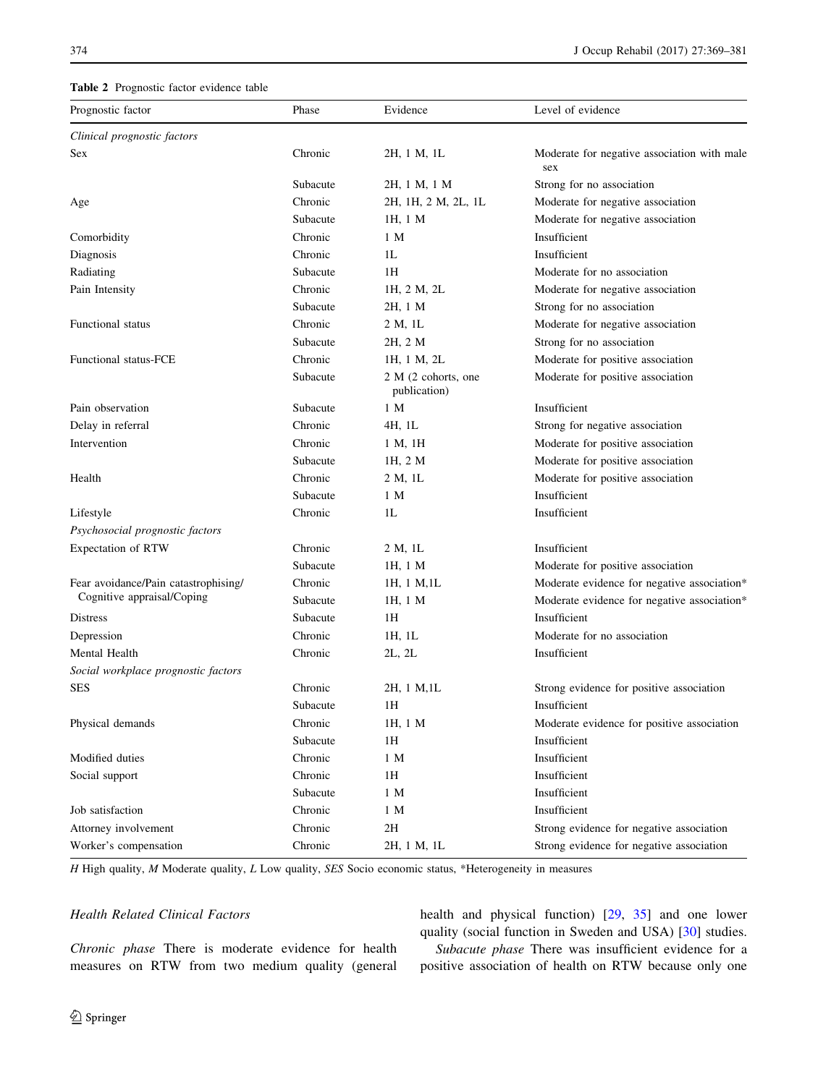## <span id="page-5-0"></span>Table 2 Prognostic factor evidence table

| Prognostic factor                    | Phase    | Evidence                            | Level of evidence                                  |
|--------------------------------------|----------|-------------------------------------|----------------------------------------------------|
| Clinical prognostic factors          |          |                                     |                                                    |
| Sex                                  | Chronic  | 2H, 1 M, 1L                         | Moderate for negative association with male<br>sex |
|                                      | Subacute | 2H, 1 M, 1 M                        | Strong for no association                          |
| Age                                  | Chronic  | 2H, 1H, 2 M, 2L, 1L                 | Moderate for negative association                  |
|                                      | Subacute | 1H, 1 M                             | Moderate for negative association                  |
| Comorbidity                          | Chronic  | 1 M                                 | Insufficient                                       |
| Diagnosis                            | Chronic  | 1 <sub>L</sub>                      | Insufficient                                       |
| Radiating                            | Subacute | 1H                                  | Moderate for no association                        |
| Pain Intensity                       | Chronic  | 1H, 2 M, 2L                         | Moderate for negative association                  |
|                                      | Subacute | 2H, 1 M                             | Strong for no association                          |
| Functional status                    | Chronic  | 2 M, 1L                             | Moderate for negative association                  |
|                                      | Subacute | 2H, 2 M                             | Strong for no association                          |
| Functional status-FCE                | Chronic  | 1H, 1 M, 2L                         | Moderate for positive association                  |
|                                      | Subacute | 2 M (2 cohorts, one<br>publication) | Moderate for positive association                  |
| Pain observation                     | Subacute | 1 M                                 | Insufficient                                       |
| Delay in referral                    | Chronic  | 4H, 1L                              | Strong for negative association                    |
| Intervention                         | Chronic  | 1 M, 1H                             | Moderate for positive association                  |
|                                      | Subacute | 1H, 2 M                             | Moderate for positive association                  |
| Health                               | Chronic  | 2 M, 1L                             | Moderate for positive association                  |
|                                      | Subacute | 1 M                                 | Insufficient                                       |
| Lifestyle                            | Chronic  | 1 <sub>L</sub>                      | Insufficient                                       |
| Psychosocial prognostic factors      |          |                                     |                                                    |
| Expectation of RTW                   | Chronic  | 2 M, 1L                             | Insufficient                                       |
|                                      | Subacute | 1H, 1 M                             | Moderate for positive association                  |
| Fear avoidance/Pain catastrophising/ | Chronic  | 1H, 1 M, 1L                         | Moderate evidence for negative association*        |
| Cognitive appraisal/Coping           | Subacute | 1H, 1 M                             | Moderate evidence for negative association*        |
| Distress                             | Subacute | 1H                                  | Insufficient                                       |
| Depression                           | Chronic  | 1H, 1L                              | Moderate for no association                        |
| Mental Health                        | Chronic  | 2L, 2L                              | Insufficient                                       |
| Social workplace prognostic factors  |          |                                     |                                                    |
| <b>SES</b>                           | Chronic  | 2H, 1 M, 1L                         | Strong evidence for positive association           |
|                                      | Subacute | 1H                                  | Insufficient                                       |
| Physical demands                     | Chronic  | 1H, 1 M                             | Moderate evidence for positive association         |
|                                      | Subacute | 1H                                  | Insufficient                                       |
| Modified duties                      | Chronic  | 1 M                                 | Insufficient                                       |
| Social support                       | Chronic  | 1H                                  | Insufficient                                       |
|                                      | Subacute | 1 M                                 | Insufficient                                       |
| Job satisfaction                     | Chronic  | 1 M                                 | Insufficient                                       |
| Attorney involvement                 | Chronic  | 2H                                  | Strong evidence for negative association           |
| Worker's compensation                | Chronic  | 2H, 1 M, 1L                         | Strong evidence for negative association           |

H High quality, M Moderate quality, L Low quality, SES Socio economic status, \*Heterogeneity in measures

# Health Related Clinical Factors

health and physical function) [[29,](#page-11-0) [35](#page-11-0)] and one lower quality (social function in Sweden and USA) [\[30](#page-11-0)] studies.

Chronic phase There is moderate evidence for health measures on RTW from two medium quality (general

Subacute phase There was insufficient evidence for a positive association of health on RTW because only one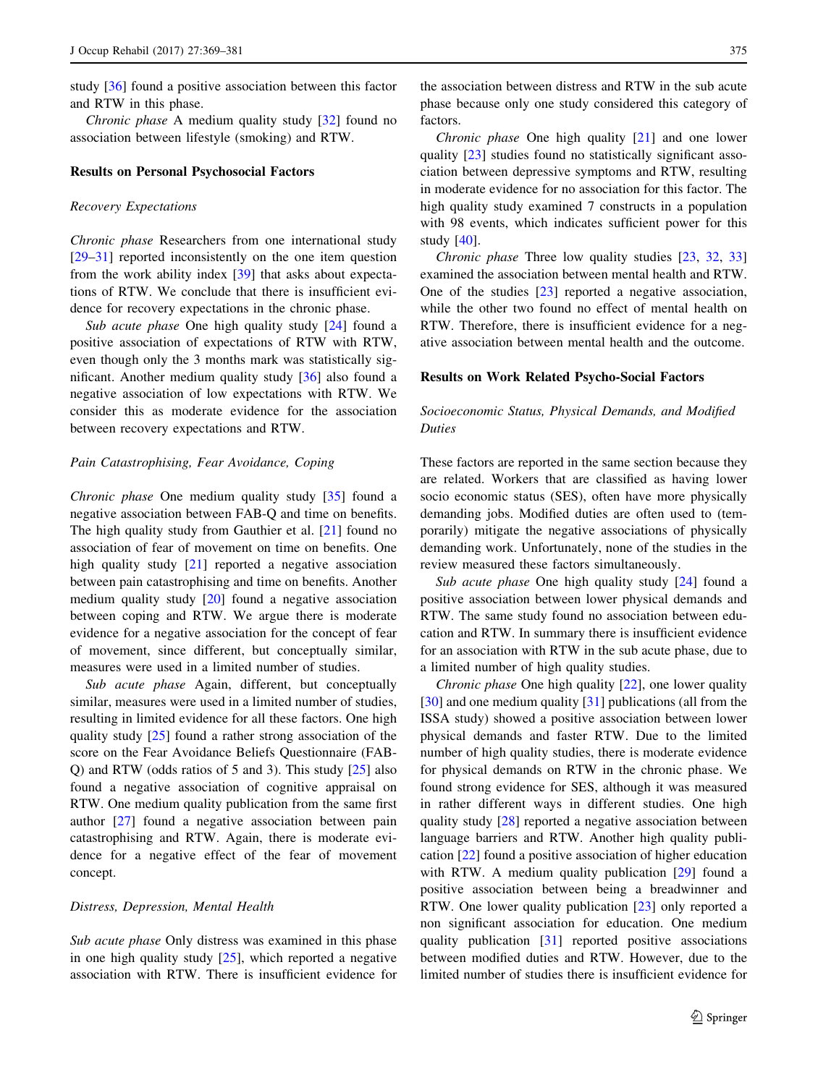study [\[36](#page-11-0)] found a positive association between this factor and RTW in this phase.

Chronic phase A medium quality study [[32\]](#page-11-0) found no association between lifestyle (smoking) and RTW.

#### Results on Personal Psychosocial Factors

#### Recovery Expectations

Chronic phase Researchers from one international study [\[29–31](#page-11-0)] reported inconsistently on the one item question from the work ability index [[39\]](#page-11-0) that asks about expectations of RTW. We conclude that there is insufficient evidence for recovery expectations in the chronic phase.

Sub acute phase One high quality study [[24\]](#page-10-0) found a positive association of expectations of RTW with RTW, even though only the 3 months mark was statistically significant. Another medium quality study [[36\]](#page-11-0) also found a negative association of low expectations with RTW. We consider this as moderate evidence for the association between recovery expectations and RTW.

## Pain Catastrophising, Fear Avoidance, Coping

Chronic phase One medium quality study [\[35](#page-11-0)] found a negative association between FAB-Q and time on benefits. The high quality study from Gauthier et al. [[21\]](#page-10-0) found no association of fear of movement on time on benefits. One high quality study [[21\]](#page-10-0) reported a negative association between pain catastrophising and time on benefits. Another medium quality study [[20\]](#page-10-0) found a negative association between coping and RTW. We argue there is moderate evidence for a negative association for the concept of fear of movement, since different, but conceptually similar, measures were used in a limited number of studies.

Sub acute phase Again, different, but conceptually similar, measures were used in a limited number of studies, resulting in limited evidence for all these factors. One high quality study [[25\]](#page-10-0) found a rather strong association of the score on the Fear Avoidance Beliefs Questionnaire (FAB-Q) and RTW (odds ratios of 5 and 3). This study  $[25]$  $[25]$  also found a negative association of cognitive appraisal on RTW. One medium quality publication from the same first author [\[27](#page-10-0)] found a negative association between pain catastrophising and RTW. Again, there is moderate evidence for a negative effect of the fear of movement concept.

#### Distress, Depression, Mental Health

Sub acute phase Only distress was examined in this phase in one high quality study [\[25](#page-10-0)], which reported a negative association with RTW. There is insufficient evidence for the association between distress and RTW in the sub acute phase because only one study considered this category of factors.

Chronic phase One high quality [\[21](#page-10-0)] and one lower quality [[23\]](#page-10-0) studies found no statistically significant association between depressive symptoms and RTW, resulting in moderate evidence for no association for this factor. The high quality study examined 7 constructs in a population with 98 events, which indicates sufficient power for this study [\[40](#page-11-0)].

Chronic phase Three low quality studies [\[23](#page-10-0), [32](#page-11-0), [33\]](#page-11-0) examined the association between mental health and RTW. One of the studies [\[23](#page-10-0)] reported a negative association, while the other two found no effect of mental health on RTW. Therefore, there is insufficient evidence for a negative association between mental health and the outcome.

## Results on Work Related Psycho-Social Factors

# Socioeconomic Status, Physical Demands, and Modified Duties

These factors are reported in the same section because they are related. Workers that are classified as having lower socio economic status (SES), often have more physically demanding jobs. Modified duties are often used to (temporarily) mitigate the negative associations of physically demanding work. Unfortunately, none of the studies in the review measured these factors simultaneously.

Sub acute phase One high quality study [[24\]](#page-10-0) found a positive association between lower physical demands and RTW. The same study found no association between education and RTW. In summary there is insufficient evidence for an association with RTW in the sub acute phase, due to a limited number of high quality studies.

Chronic phase One high quality [\[22](#page-10-0)], one lower quality [\[30](#page-11-0)] and one medium quality [\[31](#page-11-0)] publications (all from the ISSA study) showed a positive association between lower physical demands and faster RTW. Due to the limited number of high quality studies, there is moderate evidence for physical demands on RTW in the chronic phase. We found strong evidence for SES, although it was measured in rather different ways in different studies. One high quality study [\[28](#page-11-0)] reported a negative association between language barriers and RTW. Another high quality publication [[22\]](#page-10-0) found a positive association of higher education with RTW. A medium quality publication [[29\]](#page-11-0) found a positive association between being a breadwinner and RTW. One lower quality publication [[23\]](#page-10-0) only reported a non significant association for education. One medium quality publication [\[31](#page-11-0)] reported positive associations between modified duties and RTW. However, due to the limited number of studies there is insufficient evidence for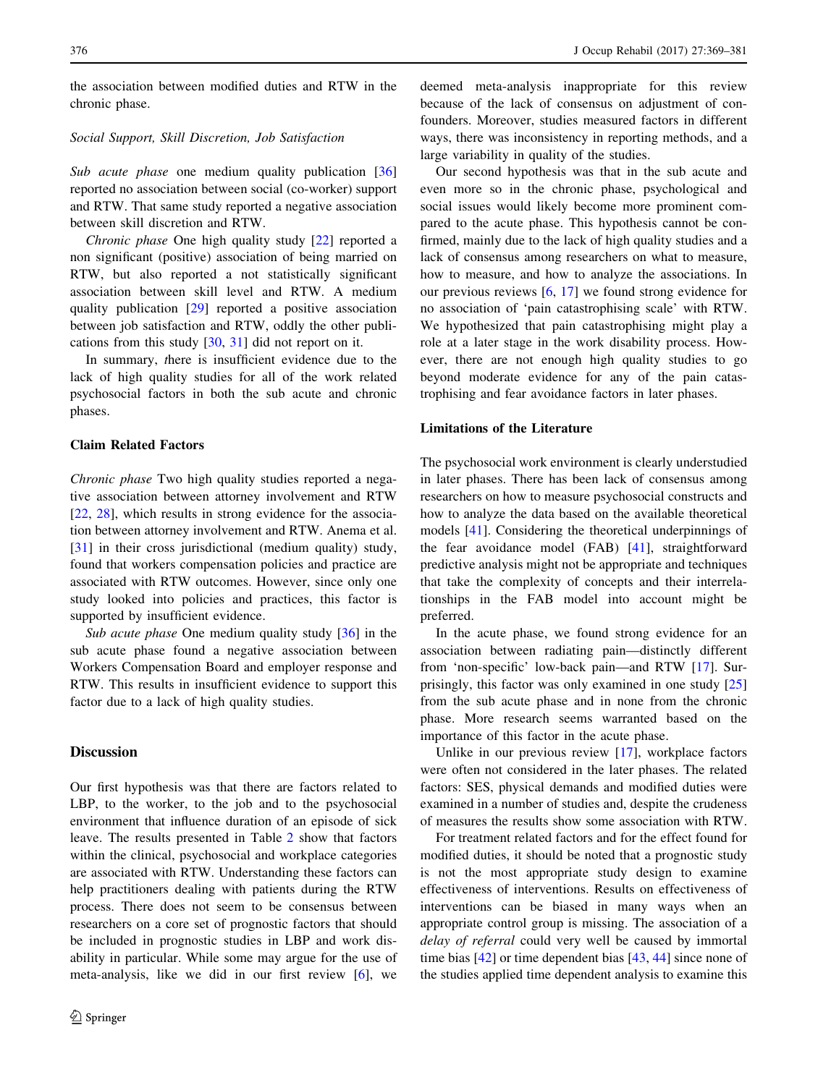the association between modified duties and RTW in the chronic phase.

## Social Support, Skill Discretion, Job Satisfaction

Sub acute phase one medium quality publication [[36\]](#page-11-0) reported no association between social (co-worker) support and RTW. That same study reported a negative association between skill discretion and RTW.

Chronic phase One high quality study [[22\]](#page-10-0) reported a non significant (positive) association of being married on RTW, but also reported a not statistically significant association between skill level and RTW. A medium quality publication [[29\]](#page-11-0) reported a positive association between job satisfaction and RTW, oddly the other publications from this study [[30,](#page-11-0) [31](#page-11-0)] did not report on it.

In summary, there is insufficient evidence due to the lack of high quality studies for all of the work related psychosocial factors in both the sub acute and chronic phases.

## Claim Related Factors

Chronic phase Two high quality studies reported a negative association between attorney involvement and RTW [\[22](#page-10-0), [28](#page-11-0)], which results in strong evidence for the association between attorney involvement and RTW. Anema et al. [\[31](#page-11-0)] in their cross jurisdictional (medium quality) study, found that workers compensation policies and practice are associated with RTW outcomes. However, since only one study looked into policies and practices, this factor is supported by insufficient evidence.

Sub acute phase One medium quality study [[36\]](#page-11-0) in the sub acute phase found a negative association between Workers Compensation Board and employer response and RTW. This results in insufficient evidence to support this factor due to a lack of high quality studies.

## **Discussion**

Our first hypothesis was that there are factors related to LBP, to the worker, to the job and to the psychosocial environment that influence duration of an episode of sick leave. The results presented in Table [2](#page-5-0) show that factors within the clinical, psychosocial and workplace categories are associated with RTW. Understanding these factors can help practitioners dealing with patients during the RTW process. There does not seem to be consensus between researchers on a core set of prognostic factors that should be included in prognostic studies in LBP and work disability in particular. While some may argue for the use of meta-analysis, like we did in our first review [[6\]](#page-10-0), we deemed meta-analysis inappropriate for this review because of the lack of consensus on adjustment of confounders. Moreover, studies measured factors in different ways, there was inconsistency in reporting methods, and a large variability in quality of the studies.

Our second hypothesis was that in the sub acute and even more so in the chronic phase, psychological and social issues would likely become more prominent compared to the acute phase. This hypothesis cannot be confirmed, mainly due to the lack of high quality studies and a lack of consensus among researchers on what to measure, how to measure, and how to analyze the associations. In our previous reviews [[6,](#page-10-0) [17](#page-10-0)] we found strong evidence for no association of 'pain catastrophising scale' with RTW. We hypothesized that pain catastrophising might play a role at a later stage in the work disability process. However, there are not enough high quality studies to go beyond moderate evidence for any of the pain catastrophising and fear avoidance factors in later phases.

## Limitations of the Literature

The psychosocial work environment is clearly understudied in later phases. There has been lack of consensus among researchers on how to measure psychosocial constructs and how to analyze the data based on the available theoretical models [[41\]](#page-11-0). Considering the theoretical underpinnings of the fear avoidance model (FAB) [[41](#page-11-0)], straightforward predictive analysis might not be appropriate and techniques that take the complexity of concepts and their interrelationships in the FAB model into account might be preferred.

In the acute phase, we found strong evidence for an association between radiating pain—distinctly different from 'non-specific' low-back pain—and RTW [[17\]](#page-10-0). Surprisingly, this factor was only examined in one study [[25\]](#page-10-0) from the sub acute phase and in none from the chronic phase. More research seems warranted based on the importance of this factor in the acute phase.

Unlike in our previous review [\[17](#page-10-0)], workplace factors were often not considered in the later phases. The related factors: SES, physical demands and modified duties were examined in a number of studies and, despite the crudeness of measures the results show some association with RTW.

For treatment related factors and for the effect found for modified duties, it should be noted that a prognostic study is not the most appropriate study design to examine effectiveness of interventions. Results on effectiveness of interventions can be biased in many ways when an appropriate control group is missing. The association of a delay of referral could very well be caused by immortal time bias [\[42](#page-11-0)] or time dependent bias [\[43](#page-11-0), [44](#page-11-0)] since none of the studies applied time dependent analysis to examine this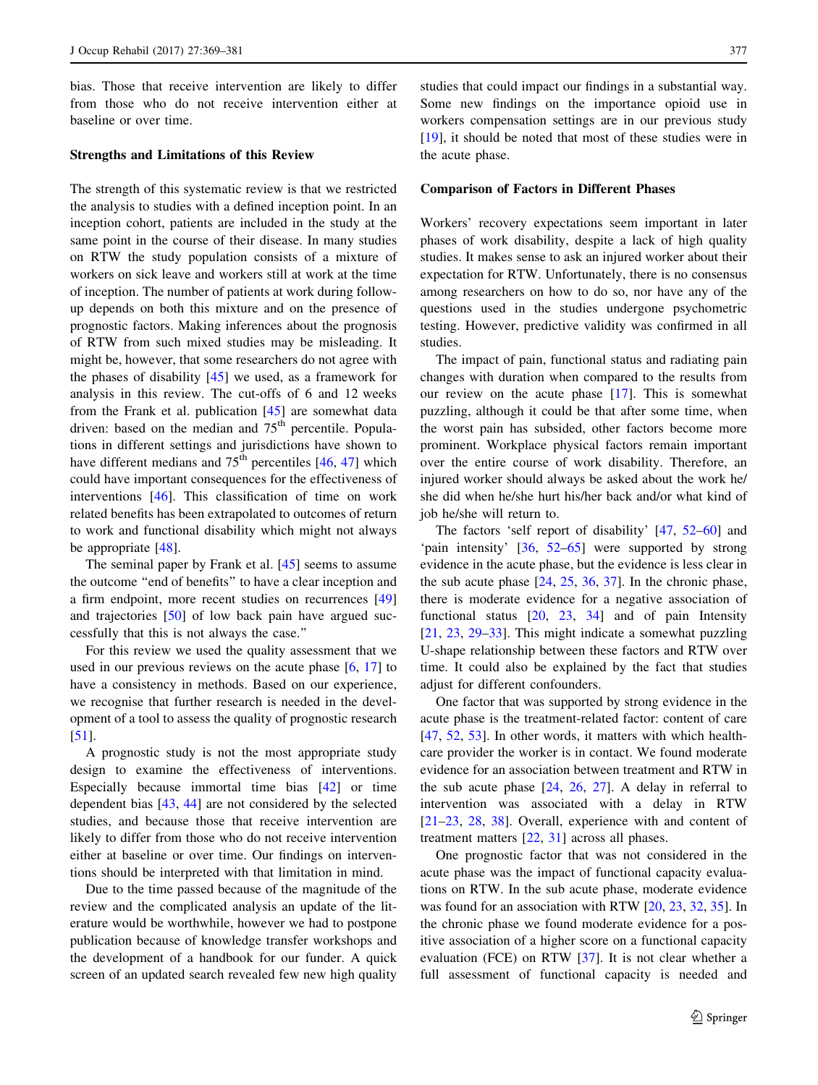bias. Those that receive intervention are likely to differ from those who do not receive intervention either at baseline or over time.

## Strengths and Limitations of this Review

The strength of this systematic review is that we restricted the analysis to studies with a defined inception point. In an inception cohort, patients are included in the study at the same point in the course of their disease. In many studies on RTW the study population consists of a mixture of workers on sick leave and workers still at work at the time of inception. The number of patients at work during followup depends on both this mixture and on the presence of prognostic factors. Making inferences about the prognosis of RTW from such mixed studies may be misleading. It might be, however, that some researchers do not agree with the phases of disability  $[45]$  $[45]$  we used, as a framework for analysis in this review. The cut-offs of 6 and 12 weeks from the Frank et al. publication [[45\]](#page-11-0) are somewhat data driven: based on the median and  $75<sup>th</sup>$  percentile. Populations in different settings and jurisdictions have shown to have different medians and  $75<sup>th</sup>$  percentiles [[46,](#page-11-0) [47](#page-11-0)] which could have important consequences for the effectiveness of interventions [\[46](#page-11-0)]. This classification of time on work related benefits has been extrapolated to outcomes of return to work and functional disability which might not always be appropriate [\[48](#page-11-0)].

The seminal paper by Frank et al. [\[45](#page-11-0)] seems to assume the outcome ''end of benefits'' to have a clear inception and a firm endpoint, more recent studies on recurrences [[49\]](#page-11-0) and trajectories [\[50](#page-11-0)] of low back pain have argued successfully that this is not always the case.''

For this review we used the quality assessment that we used in our previous reviews on the acute phase [\[6](#page-10-0), [17\]](#page-10-0) to have a consistency in methods. Based on our experience, we recognise that further research is needed in the development of a tool to assess the quality of prognostic research [\[51](#page-11-0)].

A prognostic study is not the most appropriate study design to examine the effectiveness of interventions. Especially because immortal time bias [\[42](#page-11-0)] or time dependent bias [\[43](#page-11-0), [44\]](#page-11-0) are not considered by the selected studies, and because those that receive intervention are likely to differ from those who do not receive intervention either at baseline or over time. Our findings on interventions should be interpreted with that limitation in mind.

Due to the time passed because of the magnitude of the review and the complicated analysis an update of the literature would be worthwhile, however we had to postpone publication because of knowledge transfer workshops and the development of a handbook for our funder. A quick screen of an updated search revealed few new high quality studies that could impact our findings in a substantial way. Some new findings on the importance opioid use in workers compensation settings are in our previous study [\[19](#page-10-0)], it should be noted that most of these studies were in the acute phase.

## Comparison of Factors in Different Phases

Workers' recovery expectations seem important in later phases of work disability, despite a lack of high quality studies. It makes sense to ask an injured worker about their expectation for RTW. Unfortunately, there is no consensus among researchers on how to do so, nor have any of the questions used in the studies undergone psychometric testing. However, predictive validity was confirmed in all studies.

The impact of pain, functional status and radiating pain changes with duration when compared to the results from our review on the acute phase [[17\]](#page-10-0). This is somewhat puzzling, although it could be that after some time, when the worst pain has subsided, other factors become more prominent. Workplace physical factors remain important over the entire course of work disability. Therefore, an injured worker should always be asked about the work he/ she did when he/she hurt his/her back and/or what kind of job he/she will return to.

The factors 'self report of disability' [\[47](#page-11-0), [52–60](#page-11-0)] and 'pain intensity' [[36,](#page-11-0) [52–65](#page-11-0)] were supported by strong evidence in the acute phase, but the evidence is less clear in the sub acute phase  $[24, 25, 36, 37]$  $[24, 25, 36, 37]$  $[24, 25, 36, 37]$  $[24, 25, 36, 37]$  $[24, 25, 36, 37]$  $[24, 25, 36, 37]$  $[24, 25, 36, 37]$ . In the chronic phase, there is moderate evidence for a negative association of functional status  $[20, 23, 34]$  $[20, 23, 34]$  $[20, 23, 34]$  $[20, 23, 34]$  $[20, 23, 34]$  and of pain Intensity [\[21](#page-10-0), [23](#page-10-0), [29–33](#page-11-0)]. This might indicate a somewhat puzzling U-shape relationship between these factors and RTW over time. It could also be explained by the fact that studies adjust for different confounders.

One factor that was supported by strong evidence in the acute phase is the treatment-related factor: content of care [\[47](#page-11-0), [52](#page-11-0), [53](#page-11-0)]. In other words, it matters with which healthcare provider the worker is in contact. We found moderate evidence for an association between treatment and RTW in the sub acute phase [[24,](#page-10-0) [26,](#page-10-0) [27\]](#page-10-0). A delay in referral to intervention was associated with a delay in RTW [\[21–23](#page-10-0), [28](#page-11-0), [38\]](#page-11-0). Overall, experience with and content of treatment matters [[22,](#page-10-0) [31](#page-11-0)] across all phases.

One prognostic factor that was not considered in the acute phase was the impact of functional capacity evaluations on RTW. In the sub acute phase, moderate evidence was found for an association with RTW [\[20](#page-10-0), [23](#page-10-0), [32](#page-11-0), [35](#page-11-0)]. In the chronic phase we found moderate evidence for a positive association of a higher score on a functional capacity evaluation (FCE) on RTW [[37\]](#page-11-0). It is not clear whether a full assessment of functional capacity is needed and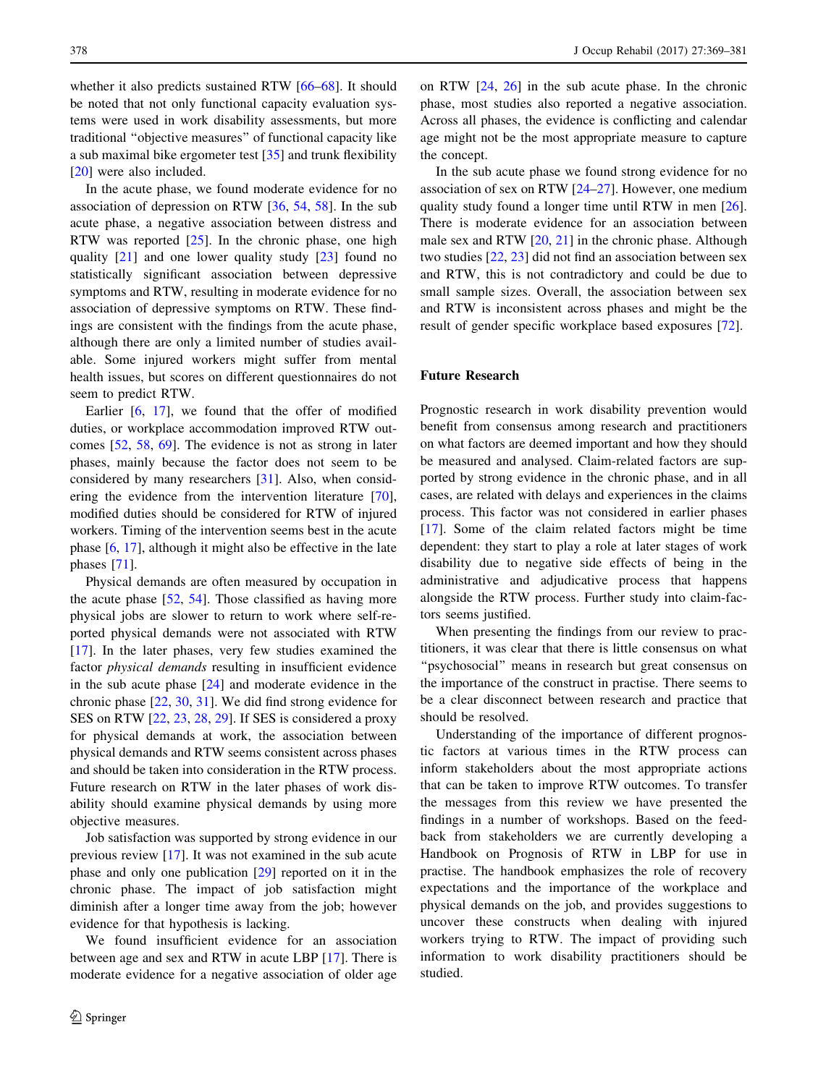whether it also predicts sustained RTW [\[66](#page-11-0)[–68](#page-12-0)]. It should be noted that not only functional capacity evaluation systems were used in work disability assessments, but more traditional ''objective measures'' of functional capacity like a sub maximal bike ergometer test [\[35](#page-11-0)] and trunk flexibility [\[20](#page-10-0)] were also included.

In the acute phase, we found moderate evidence for no association of depression on RTW [\[36](#page-11-0), [54,](#page-11-0) [58](#page-11-0)]. In the sub acute phase, a negative association between distress and RTW was reported  $[25]$  $[25]$ . In the chronic phase, one high quality [[21\]](#page-10-0) and one lower quality study [\[23](#page-10-0)] found no statistically significant association between depressive symptoms and RTW, resulting in moderate evidence for no association of depressive symptoms on RTW. These findings are consistent with the findings from the acute phase, although there are only a limited number of studies available. Some injured workers might suffer from mental health issues, but scores on different questionnaires do not seem to predict RTW.

Earlier [\[6](#page-10-0), [17\]](#page-10-0), we found that the offer of modified duties, or workplace accommodation improved RTW outcomes [\[52](#page-11-0), [58](#page-11-0), [69](#page-12-0)]. The evidence is not as strong in later phases, mainly because the factor does not seem to be considered by many researchers [[31\]](#page-11-0). Also, when considering the evidence from the intervention literature [\[70](#page-12-0)], modified duties should be considered for RTW of injured workers. Timing of the intervention seems best in the acute phase [[6,](#page-10-0) [17\]](#page-10-0), although it might also be effective in the late phases [\[71](#page-12-0)].

Physical demands are often measured by occupation in the acute phase [\[52](#page-11-0), [54](#page-11-0)]. Those classified as having more physical jobs are slower to return to work where self-reported physical demands were not associated with RTW [\[17](#page-10-0)]. In the later phases, very few studies examined the factor physical demands resulting in insufficient evidence in the sub acute phase [\[24](#page-10-0)] and moderate evidence in the chronic phase [[22,](#page-10-0) [30,](#page-11-0) [31\]](#page-11-0). We did find strong evidence for SES on RTW [\[22](#page-10-0), [23](#page-10-0), [28](#page-11-0), [29](#page-11-0)]. If SES is considered a proxy for physical demands at work, the association between physical demands and RTW seems consistent across phases and should be taken into consideration in the RTW process. Future research on RTW in the later phases of work disability should examine physical demands by using more objective measures.

Job satisfaction was supported by strong evidence in our previous review [[17\]](#page-10-0). It was not examined in the sub acute phase and only one publication [[29\]](#page-11-0) reported on it in the chronic phase. The impact of job satisfaction might diminish after a longer time away from the job; however evidence for that hypothesis is lacking.

We found insufficient evidence for an association between age and sex and RTW in acute LBP [[17\]](#page-10-0). There is moderate evidence for a negative association of older age on RTW [[24,](#page-10-0) [26\]](#page-10-0) in the sub acute phase. In the chronic phase, most studies also reported a negative association. Across all phases, the evidence is conflicting and calendar age might not be the most appropriate measure to capture the concept.

In the sub acute phase we found strong evidence for no association of sex on RTW [[24–27\]](#page-10-0). However, one medium quality study found a longer time until RTW in men [\[26](#page-10-0)]. There is moderate evidence for an association between male sex and RTW [[20,](#page-10-0) [21\]](#page-10-0) in the chronic phase. Although two studies [\[22](#page-10-0), [23](#page-10-0)] did not find an association between sex and RTW, this is not contradictory and could be due to small sample sizes. Overall, the association between sex and RTW is inconsistent across phases and might be the result of gender specific workplace based exposures [\[72](#page-12-0)].

## Future Research

Prognostic research in work disability prevention would benefit from consensus among research and practitioners on what factors are deemed important and how they should be measured and analysed. Claim-related factors are supported by strong evidence in the chronic phase, and in all cases, are related with delays and experiences in the claims process. This factor was not considered in earlier phases [\[17](#page-10-0)]. Some of the claim related factors might be time dependent: they start to play a role at later stages of work disability due to negative side effects of being in the administrative and adjudicative process that happens alongside the RTW process. Further study into claim-factors seems justified.

When presenting the findings from our review to practitioners, it was clear that there is little consensus on what "psychosocial" means in research but great consensus on the importance of the construct in practise. There seems to be a clear disconnect between research and practice that should be resolved.

Understanding of the importance of different prognostic factors at various times in the RTW process can inform stakeholders about the most appropriate actions that can be taken to improve RTW outcomes. To transfer the messages from this review we have presented the findings in a number of workshops. Based on the feedback from stakeholders we are currently developing a Handbook on Prognosis of RTW in LBP for use in practise. The handbook emphasizes the role of recovery expectations and the importance of the workplace and physical demands on the job, and provides suggestions to uncover these constructs when dealing with injured workers trying to RTW. The impact of providing such information to work disability practitioners should be studied.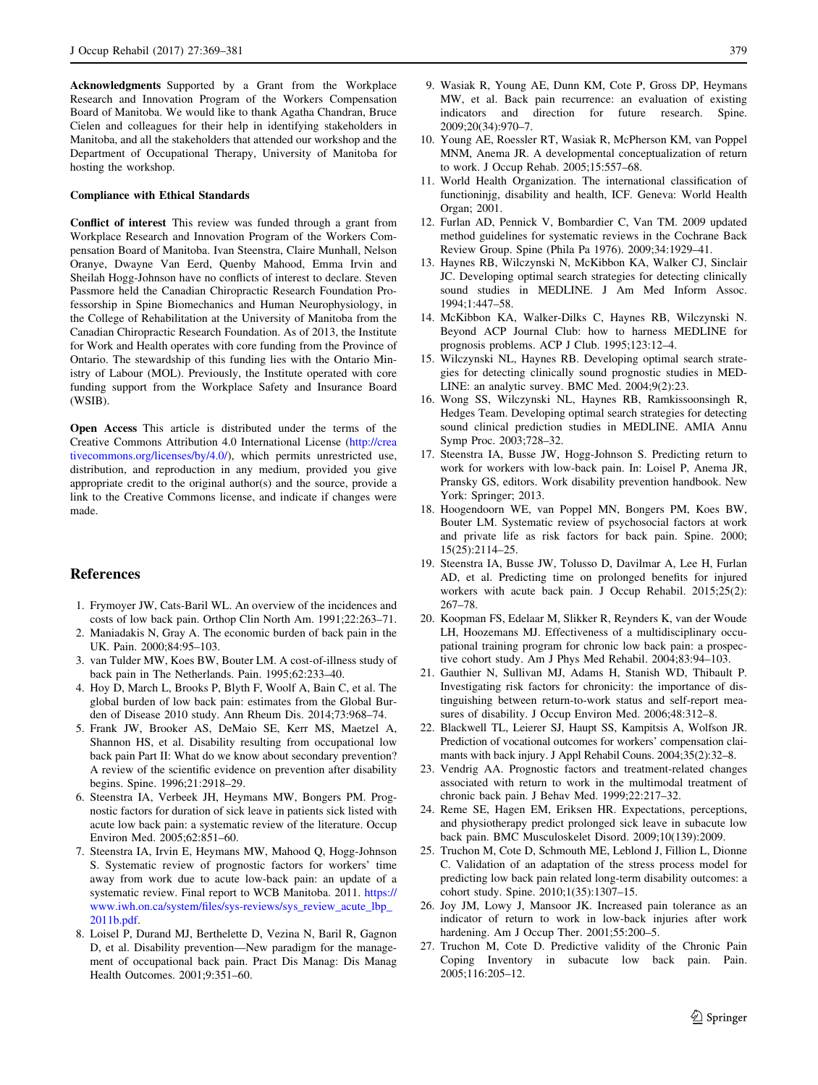<span id="page-10-0"></span>Acknowledgments Supported by a Grant from the Workplace Research and Innovation Program of the Workers Compensation Board of Manitoba. We would like to thank Agatha Chandran, Bruce Cielen and colleagues for their help in identifying stakeholders in Manitoba, and all the stakeholders that attended our workshop and the Department of Occupational Therapy, University of Manitoba for hosting the workshop.

#### Compliance with Ethical Standards

Conflict of interest This review was funded through a grant from Workplace Research and Innovation Program of the Workers Compensation Board of Manitoba. Ivan Steenstra, Claire Munhall, Nelson Oranye, Dwayne Van Eerd, Quenby Mahood, Emma Irvin and Sheilah Hogg-Johnson have no conflicts of interest to declare. Steven Passmore held the Canadian Chiropractic Research Foundation Professorship in Spine Biomechanics and Human Neurophysiology, in the College of Rehabilitation at the University of Manitoba from the Canadian Chiropractic Research Foundation. As of 2013, the Institute for Work and Health operates with core funding from the Province of Ontario. The stewardship of this funding lies with the Ontario Ministry of Labour (MOL). Previously, the Institute operated with core funding support from the Workplace Safety and Insurance Board (WSIB).

Open Access This article is distributed under the terms of the Creative Commons Attribution 4.0 International License ([http://crea](http://creativecommons.org/licenses/by/4.0/) [tivecommons.org/licenses/by/4.0/\)](http://creativecommons.org/licenses/by/4.0/), which permits unrestricted use, distribution, and reproduction in any medium, provided you give appropriate credit to the original author(s) and the source, provide a link to the Creative Commons license, and indicate if changes were made.

## References

- 1. Frymoyer JW, Cats-Baril WL. An overview of the incidences and costs of low back pain. Orthop Clin North Am. 1991;22:263–71.
- 2. Maniadakis N, Gray A. The economic burden of back pain in the UK. Pain. 2000;84:95–103.
- 3. van Tulder MW, Koes BW, Bouter LM. A cost-of-illness study of back pain in The Netherlands. Pain. 1995;62:233–40.
- 4. Hoy D, March L, Brooks P, Blyth F, Woolf A, Bain C, et al. The global burden of low back pain: estimates from the Global Burden of Disease 2010 study. Ann Rheum Dis. 2014;73:968–74.
- 5. Frank JW, Brooker AS, DeMaio SE, Kerr MS, Maetzel A, Shannon HS, et al. Disability resulting from occupational low back pain Part II: What do we know about secondary prevention? A review of the scientific evidence on prevention after disability begins. Spine. 1996;21:2918–29.
- 6. Steenstra IA, Verbeek JH, Heymans MW, Bongers PM. Prognostic factors for duration of sick leave in patients sick listed with acute low back pain: a systematic review of the literature. Occup Environ Med. 2005;62:851–60.
- 7. Steenstra IA, Irvin E, Heymans MW, Mahood Q, Hogg-Johnson S. Systematic review of prognostic factors for workers' time away from work due to acute low-back pain: an update of a systematic review. Final report to WCB Manitoba. 2011. [https://](https://www.iwh.on.ca/system/files/sys-reviews/sys_review_acute_lbp_2011b.pdf) [www.iwh.on.ca/system/files/sys-reviews/sys\\_review\\_acute\\_lbp\\_](https://www.iwh.on.ca/system/files/sys-reviews/sys_review_acute_lbp_2011b.pdf) [2011b.pdf](https://www.iwh.on.ca/system/files/sys-reviews/sys_review_acute_lbp_2011b.pdf).
- 8. Loisel P, Durand MJ, Berthelette D, Vezina N, Baril R, Gagnon D, et al. Disability prevention—New paradigm for the management of occupational back pain. Pract Dis Manag: Dis Manag Health Outcomes. 2001;9:351–60.
- 9. Wasiak R, Young AE, Dunn KM, Cote P, Gross DP, Heymans MW, et al. Back pain recurrence: an evaluation of existing indicators and direction for future research. Spine. 2009;20(34):970–7.
- 10. Young AE, Roessler RT, Wasiak R, McPherson KM, van Poppel MNM, Anema JR. A developmental conceptualization of return to work. J Occup Rehab. 2005;15:557–68.
- 11. World Health Organization. The international classification of functioninjg, disability and health, ICF. Geneva: World Health Organ; 2001.
- 12. Furlan AD, Pennick V, Bombardier C, Van TM. 2009 updated method guidelines for systematic reviews in the Cochrane Back Review Group. Spine (Phila Pa 1976). 2009;34:1929–41.
- 13. Haynes RB, Wilczynski N, McKibbon KA, Walker CJ, Sinclair JC. Developing optimal search strategies for detecting clinically sound studies in MEDLINE. J Am Med Inform Assoc. 1994;1:447–58.
- 14. McKibbon KA, Walker-Dilks C, Haynes RB, Wilczynski N. Beyond ACP Journal Club: how to harness MEDLINE for prognosis problems. ACP J Club. 1995;123:12–4.
- 15. Wilczynski NL, Haynes RB. Developing optimal search strategies for detecting clinically sound prognostic studies in MED-LINE: an analytic survey. BMC Med. 2004;9(2):23.
- 16. Wong SS, Wilczynski NL, Haynes RB, Ramkissoonsingh R, Hedges Team. Developing optimal search strategies for detecting sound clinical prediction studies in MEDLINE. AMIA Annu Symp Proc. 2003;728–32.
- 17. Steenstra IA, Busse JW, Hogg-Johnson S. Predicting return to work for workers with low-back pain. In: Loisel P, Anema JR, Pransky GS, editors. Work disability prevention handbook. New York: Springer; 2013.
- 18. Hoogendoorn WE, van Poppel MN, Bongers PM, Koes BW, Bouter LM. Systematic review of psychosocial factors at work and private life as risk factors for back pain. Spine. 2000; 15(25):2114–25.
- 19. Steenstra IA, Busse JW, Tolusso D, Davilmar A, Lee H, Furlan AD, et al. Predicting time on prolonged benefits for injured workers with acute back pain. J Occup Rehabil. 2015;25(2): 267–78.
- 20. Koopman FS, Edelaar M, Slikker R, Reynders K, van der Woude LH, Hoozemans MJ. Effectiveness of a multidisciplinary occupational training program for chronic low back pain: a prospective cohort study. Am J Phys Med Rehabil. 2004;83:94–103.
- 21. Gauthier N, Sullivan MJ, Adams H, Stanish WD, Thibault P. Investigating risk factors for chronicity: the importance of distinguishing between return-to-work status and self-report measures of disability. J Occup Environ Med. 2006;48:312–8.
- 22. Blackwell TL, Leierer SJ, Haupt SS, Kampitsis A, Wolfson JR. Prediction of vocational outcomes for workers' compensation claimants with back injury. J Appl Rehabil Couns. 2004;35(2):32–8.
- 23. Vendrig AA. Prognostic factors and treatment-related changes associated with return to work in the multimodal treatment of chronic back pain. J Behav Med. 1999;22:217–32.
- 24. Reme SE, Hagen EM, Eriksen HR. Expectations, perceptions, and physiotherapy predict prolonged sick leave in subacute low back pain. BMC Musculoskelet Disord. 2009;10(139):2009.
- 25. Truchon M, Cote D, Schmouth ME, Leblond J, Fillion L, Dionne C. Validation of an adaptation of the stress process model for predicting low back pain related long-term disability outcomes: a cohort study. Spine. 2010;1(35):1307–15.
- 26. Joy JM, Lowy J, Mansoor JK. Increased pain tolerance as an indicator of return to work in low-back injuries after work hardening. Am J Occup Ther. 2001;55:200-5.
- 27. Truchon M, Cote D. Predictive validity of the Chronic Pain Coping Inventory in subacute low back pain. Pain. 2005;116:205–12.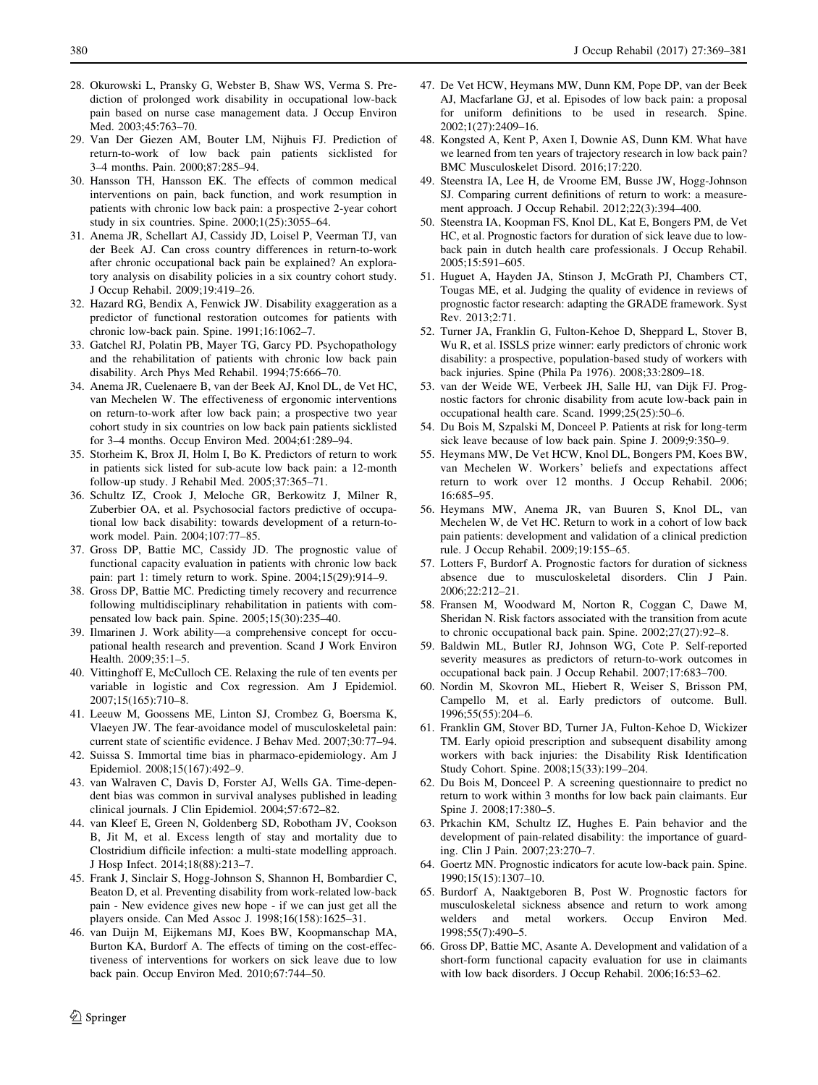- <span id="page-11-0"></span>28. Okurowski L, Pransky G, Webster B, Shaw WS, Verma S. Prediction of prolonged work disability in occupational low-back pain based on nurse case management data. J Occup Environ Med. 2003;45:763–70.
- 29. Van Der Giezen AM, Bouter LM, Nijhuis FJ. Prediction of return-to-work of low back pain patients sicklisted for 3–4 months. Pain. 2000;87:285–94.
- 30. Hansson TH, Hansson EK. The effects of common medical interventions on pain, back function, and work resumption in patients with chronic low back pain: a prospective 2-year cohort study in six countries. Spine. 2000;1(25):3055–64.
- 31. Anema JR, Schellart AJ, Cassidy JD, Loisel P, Veerman TJ, van der Beek AJ. Can cross country differences in return-to-work after chronic occupational back pain be explained? An exploratory analysis on disability policies in a six country cohort study. J Occup Rehabil. 2009;19:419–26.
- 32. Hazard RG, Bendix A, Fenwick JW. Disability exaggeration as a predictor of functional restoration outcomes for patients with chronic low-back pain. Spine. 1991;16:1062–7.
- 33. Gatchel RJ, Polatin PB, Mayer TG, Garcy PD. Psychopathology and the rehabilitation of patients with chronic low back pain disability. Arch Phys Med Rehabil. 1994;75:666–70.
- 34. Anema JR, Cuelenaere B, van der Beek AJ, Knol DL, de Vet HC, van Mechelen W. The effectiveness of ergonomic interventions on return-to-work after low back pain; a prospective two year cohort study in six countries on low back pain patients sicklisted for 3–4 months. Occup Environ Med. 2004;61:289–94.
- 35. Storheim K, Brox JI, Holm I, Bo K. Predictors of return to work in patients sick listed for sub-acute low back pain: a 12-month follow-up study. J Rehabil Med. 2005;37:365–71.
- 36. Schultz IZ, Crook J, Meloche GR, Berkowitz J, Milner R, Zuberbier OA, et al. Psychosocial factors predictive of occupational low back disability: towards development of a return-towork model. Pain. 2004;107:77–85.
- 37. Gross DP, Battie MC, Cassidy JD. The prognostic value of functional capacity evaluation in patients with chronic low back pain: part 1: timely return to work. Spine. 2004;15(29):914–9.
- 38. Gross DP, Battie MC. Predicting timely recovery and recurrence following multidisciplinary rehabilitation in patients with compensated low back pain. Spine. 2005;15(30):235–40.
- 39. Ilmarinen J. Work ability—a comprehensive concept for occupational health research and prevention. Scand J Work Environ Health. 2009;35:1–5.
- 40. Vittinghoff E, McCulloch CE. Relaxing the rule of ten events per variable in logistic and Cox regression. Am J Epidemiol. 2007;15(165):710–8.
- 41. Leeuw M, Goossens ME, Linton SJ, Crombez G, Boersma K, Vlaeyen JW. The fear-avoidance model of musculoskeletal pain: current state of scientific evidence. J Behav Med. 2007;30:77–94.
- 42. Suissa S. Immortal time bias in pharmaco-epidemiology. Am J Epidemiol. 2008;15(167):492–9.
- 43. van Walraven C, Davis D, Forster AJ, Wells GA. Time-dependent bias was common in survival analyses published in leading clinical journals. J Clin Epidemiol. 2004;57:672–82.
- 44. van Kleef E, Green N, Goldenberg SD, Robotham JV, Cookson B, Jit M, et al. Excess length of stay and mortality due to Clostridium difficile infection: a multi-state modelling approach. J Hosp Infect. 2014;18(88):213–7.
- 45. Frank J, Sinclair S, Hogg-Johnson S, Shannon H, Bombardier C, Beaton D, et al. Preventing disability from work-related low-back pain - New evidence gives new hope - if we can just get all the players onside. Can Med Assoc J. 1998;16(158):1625–31.
- 46. van Duijn M, Eijkemans MJ, Koes BW, Koopmanschap MA, Burton KA, Burdorf A. The effects of timing on the cost-effectiveness of interventions for workers on sick leave due to low back pain. Occup Environ Med. 2010;67:744–50.
- 47. De Vet HCW, Heymans MW, Dunn KM, Pope DP, van der Beek AJ, Macfarlane GJ, et al. Episodes of low back pain: a proposal for uniform definitions to be used in research. Spine. 2002;1(27):2409–16.
- 48. Kongsted A, Kent P, Axen I, Downie AS, Dunn KM. What have we learned from ten years of trajectory research in low back pain? BMC Musculoskelet Disord. 2016;17:220.
- 49. Steenstra IA, Lee H, de Vroome EM, Busse JW, Hogg-Johnson SJ. Comparing current definitions of return to work: a measurement approach. J Occup Rehabil. 2012;22(3):394–400.
- 50. Steenstra IA, Koopman FS, Knol DL, Kat E, Bongers PM, de Vet HC, et al. Prognostic factors for duration of sick leave due to lowback pain in dutch health care professionals. J Occup Rehabil. 2005;15:591–605.
- 51. Huguet A, Hayden JA, Stinson J, McGrath PJ, Chambers CT, Tougas ME, et al. Judging the quality of evidence in reviews of prognostic factor research: adapting the GRADE framework. Syst Rev. 2013;2:71.
- 52. Turner JA, Franklin G, Fulton-Kehoe D, Sheppard L, Stover B, Wu R, et al. ISSLS prize winner: early predictors of chronic work disability: a prospective, population-based study of workers with back injuries. Spine (Phila Pa 1976). 2008;33:2809–18.
- 53. van der Weide WE, Verbeek JH, Salle HJ, van Dijk FJ. Prognostic factors for chronic disability from acute low-back pain in occupational health care. Scand. 1999;25(25):50–6.
- 54. Du Bois M, Szpalski M, Donceel P. Patients at risk for long-term sick leave because of low back pain. Spine J. 2009;9:350–9.
- 55. Heymans MW, De Vet HCW, Knol DL, Bongers PM, Koes BW, van Mechelen W. Workers' beliefs and expectations affect return to work over 12 months. J Occup Rehabil. 2006; 16:685–95.
- 56. Heymans MW, Anema JR, van Buuren S, Knol DL, van Mechelen W, de Vet HC. Return to work in a cohort of low back pain patients: development and validation of a clinical prediction rule. J Occup Rehabil. 2009;19:155–65.
- 57. Lotters F, Burdorf A. Prognostic factors for duration of sickness absence due to musculoskeletal disorders. Clin J Pain. 2006;22:212–21.
- 58. Fransen M, Woodward M, Norton R, Coggan C, Dawe M, Sheridan N. Risk factors associated with the transition from acute to chronic occupational back pain. Spine. 2002;27(27):92–8.
- 59. Baldwin ML, Butler RJ, Johnson WG, Cote P. Self-reported severity measures as predictors of return-to-work outcomes in occupational back pain. J Occup Rehabil. 2007;17:683–700.
- 60. Nordin M, Skovron ML, Hiebert R, Weiser S, Brisson PM, Campello M, et al. Early predictors of outcome. Bull. 1996;55(55):204–6.
- 61. Franklin GM, Stover BD, Turner JA, Fulton-Kehoe D, Wickizer TM. Early opioid prescription and subsequent disability among workers with back injuries: the Disability Risk Identification Study Cohort. Spine. 2008;15(33):199–204.
- 62. Du Bois M, Donceel P. A screening questionnaire to predict no return to work within 3 months for low back pain claimants. Eur Spine J. 2008;17:380–5.
- 63. Prkachin KM, Schultz IZ, Hughes E. Pain behavior and the development of pain-related disability: the importance of guarding. Clin J Pain. 2007;23:270–7.
- 64. Goertz MN. Prognostic indicators for acute low-back pain. Spine. 1990;15(15):1307–10.
- 65. Burdorf A, Naaktgeboren B, Post W. Prognostic factors for musculoskeletal sickness absence and return to work among welders and metal workers. Occup Environ Med. 1998;55(7):490–5.
- 66. Gross DP, Battie MC, Asante A. Development and validation of a short-form functional capacity evaluation for use in claimants with low back disorders. J Occup Rehabil. 2006;16:53–62.